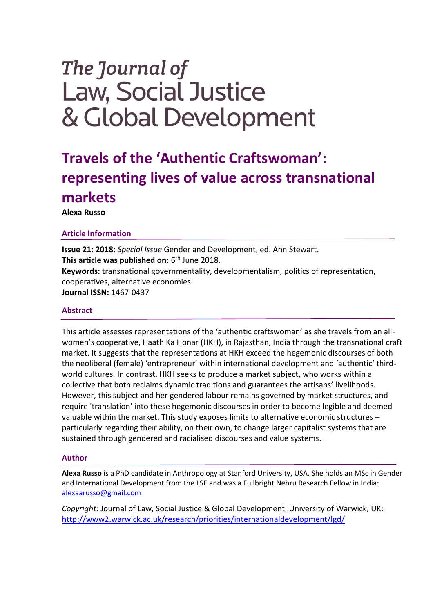# The Journal of **Law, Social Justice** & Global Development

# **Travels of the 'Authentic Craftswoman': representing lives of value across transnational markets**

**Alexa Russo**

# **Article Information**

**Issue 21: 2018**: *Special Issue* Gender and Development, ed. Ann Stewart. **This article was published on:** 6<sup>th</sup> June 2018. **Keywords:** transnational governmentality, developmentalism, politics of representation, cooperatives, alternative economies. **Journal ISSN:** 1467-0437

## **Abstract**

This article assesses representations of the 'authentic craftswoman' as she travels from an allwomen's cooperative, Haath Ka Honar (HKH), in Rajasthan, India through the transnational craft market. it suggests that the representations at HKH exceed the hegemonic discourses of both the neoliberal (female) 'entrepreneur' within international development and 'authentic' thirdworld cultures. In contrast, HKH seeks to produce a market subject, who works within a collective that both reclaims dynamic traditions and guarantees the artisans' livelihoods. However, this subject and her gendered labour remains governed by market structures, and require 'translation' into these hegemonic discourses in order to become legible and deemed valuable within the market. This study exposes limits to alternative economic structures – particularly regarding their ability, on their own, to change larger capitalist systems that are sustained through gendered and racialised discourses and value systems.

## **Author**

**Alexa Russo** is a PhD candidate in Anthropology at Stanford University, USA. She holds an MSc in Gender and International Development from the LSE and was a Fullbright Nehru Research Fellow in India: [alexaarusso@gmail.com](mailto:alexaarusso@gmail.com)

*Copyright*: Journal of Law, Social Justice & Global Development, University of Warwick, UK: <http://www2.warwick.ac.uk/research/priorities/internationaldevelopment/lgd/>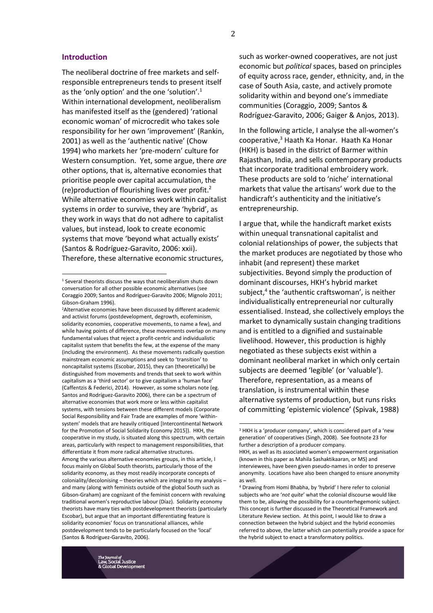#### **Introduction**

**.** 

The neoliberal doctrine of free markets and selfresponsible entrepreneurs tends to present itself as the 'only option' and the one 'solution'. $1$ Within international development, neoliberalism has manifested itself as the (gendered) 'rational economic woman' of microcredit who takes sole responsibility for her own 'improvement' (Rankin, 2001) as well as the 'authentic native' (Chow 1994) who markets her 'pre-modern' culture for Western consumption. Yet, some argue, there *are* other options, that is, alternative economies that prioritise people over capital accumulation, the (re)production of flourishing lives over profit.<sup>2</sup> While alternative economies work within capitalist systems in order to survive, they are 'hybrid', as they work in ways that do not adhere to capitalist values, but instead, look to create economic systems that move 'beyond what actually exists' (Santos & Rodríguez-Garavito, 2006: xxii). Therefore, these alternative economic structures,

such as worker-owned cooperatives, are not just economic but *political* spaces, based on principles of equity across race, gender, ethnicity, and, in the case of South Asia, caste, and actively promote solidarity within and beyond one's immediate communities (Coraggio, 2009; Santos & Rodríguez-Garavito, 2006; Gaiger & Anjos, 2013).

In the following article, I analyse the all-women's cooperative, <sup>3</sup> Haath Ka Honar. Haath Ka Honar (HKH) is based in the district of Barmer within Rajasthan, India, and sells contemporary products that incorporate traditional embroidery work. These products are sold to 'niche' international markets that value the artisans' work due to the handicraft's authenticity and the initiative's entrepreneurship.

I argue that, while the handicraft market exists within unequal transnational capitalist and colonial relationships of power, the subjects that the market produces are negotiated by those who inhabit (and represent) these market subjectivities. Beyond simply the production of dominant discourses, HKH's hybrid market subject,<sup>4</sup> the 'authentic craftswoman', is neither individualistically entrepreneurial nor culturally essentialised. Instead, she collectively employs the market to dynamically sustain changing traditions and is entitled to a dignified and sustainable livelihood. However, this production is highly negotiated as these subjects exist within a dominant neoliberal market in which only certain subjects are deemed 'legible' (or 'valuable'). Therefore, representation, as a means of translation, is instrumental within these alternative systems of production, but runs risks of committing 'epistemic violence' (Spivak, 1988)

<sup>1</sup> Several theorists discuss the ways that neoliberalism shuts down conversation for all other possible economic alternatives (see Coraggio 2009; Santos and Rodríguez-Garavito 2006; Mignolo 2011; Gibson-Graham 1996).

<sup>2</sup>Alternative economies have been discussed by different academic and activist forums (postdevelopment, degrowth, ecofeminism, solidarity economies, cooperative movements, to name a few), and while having points of difference, these movements overlap on many fundamental values that reject a profit-centric and individualistic capitalist system that benefits the few, at the expense of the many (including the environment). As these movements radically question mainstream economic assumptions and seek to 'transition' to noncapitalist systems (Escobar, 2015), they can (theoretically) be distinguished from movements and trends that seek to work within capitalism as a 'third sector' or to give capitalism a 'human face' (Caffentzis & Federici, 2014). However, as some scholars note (eg. Santos and Rodríguez-Garavito 2006), there can be a spectrum of alternative economies that work more or less within capitalist systems, with tensions between these different models (Corporate Social Responsibility and Fair Trade are examples of more 'withinsystem' models that are heavily critiqued [Intercontinental Network] for the Promotion of Social Solidarity Economy 2015]). HKH, the cooperative in my study, is situated along this spectrum, with certain areas, particularly with respect to management responsibilities, that differentiate it from more radical alternative structures. Among the various alternative economies groups, in this article, I focus mainly on Global South theorists, particularly those of the solidarity economy, as they most readily incorporate concepts of coloniality/decolonising – theories which are integral to my analysis – and many (along with feminists outside of the global South such as Gibson-Graham) are cognizant of the feminist concern with revaluing traditional women's reproductive labour (Díaz). Solidarity economy theorists have many ties with postdevelopment theorists (particularly Escobar), but argue that an important differentiating feature is solidarity economies' focus on transnational alliances, while postdevelopment tends to be particularly focused on the 'local' (Santos & Rodríguez-Garavito, 2006).

<sup>&</sup>lt;sup>3</sup> HKH is a 'producer company', which is considered part of a 'new generation' of cooperatives (Singh, 2008). See footnote 23 for further a description of a producer company.

HKH, as well as its associated women's empowerment organisation (known in this paper as Mahila Sashaktikaaran, or MS) and interviewees, have been given pseudo-names in order to preserve anonymity. Locations have also been changed to ensure anonymity as well.

<sup>4</sup> Drawing from Homi Bhabha, by 'hybrid' I here refer to colonial subjects who are '*not quite*' what the colonial discourse would like them to be, allowing the possibility for a counterhegemonic subject. This concept is further discussed in the Theoretical Framework and Literature Review section. At this point, I would like to draw a connection between the hybrid subject and the hybrid economies referred to above, the latter which can potentially provide a space for the hybrid subject to enact a transformatory politics.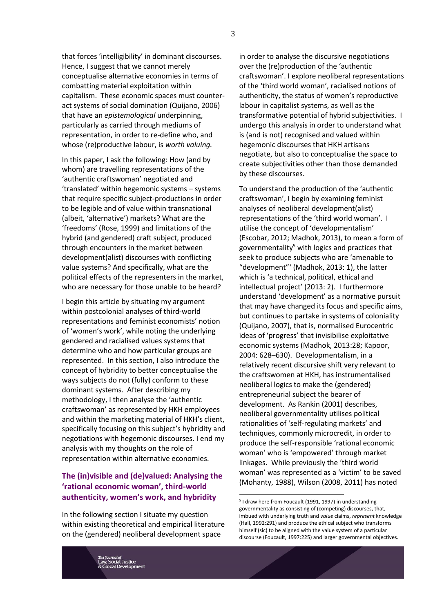that forces 'intelligibility' in dominant discourses. Hence, I suggest that we cannot merely conceptualise alternative economies in terms of combatting material exploitation within capitalism. These economic spaces must counteract systems of social domination (Quijano, 2006) that have an *epistemological* underpinning, particularly as carried through mediums of representation, in order to re-define who, and whose (re)productive labour, is *worth valuing.*

In this paper, I ask the following: How (and by whom) are travelling representations of the 'authentic craftswoman' negotiated and 'translated' within hegemonic systems – systems that require specific subject-productions in order to be legible and of value within transnational (albeit, 'alternative') markets? What are the 'freedoms' (Rose, 1999) and limitations of the hybrid (and gendered) craft subject, produced through encounters in the market between development(alist) discourses with conflicting value systems? And specifically, what are the political effects of the representers in the market, who are necessary for those unable to be heard?

I begin this article by situating my argument within postcolonial analyses of third-world representations and feminist economists' notion of 'women's work', while noting the underlying gendered and racialised values systems that determine who and how particular groups are represented. In this section, I also introduce the concept of hybridity to better conceptualise the ways subjects do not (fully) conform to these dominant systems. After describing my methodology, I then analyse the 'authentic craftswoman' as represented by HKH employees and within the marketing material of HKH's client, specifically focusing on this subject's hybridity and negotiations with hegemonic discourses. I end my analysis with my thoughts on the role of representation within alternative economies.

# **The (in)visible and (de)valued: Analysing the 'rational economic woman', third-world authenticity, women's work, and hybridity**

In the following section I situate my question within existing theoretical and empirical literature on the (gendered) neoliberal development space

in order to analyse the discursive negotiations over the (re)production of the 'authentic craftswoman'. I explore neoliberal representations of the 'third world woman', racialised notions of authenticity, the status of women's reproductive labour in capitalist systems, as well as the transformative potential of hybrid subjectivities. I undergo this analysis in order to understand what is (and is not) recognised and valued within hegemonic discourses that HKH artisans negotiate, but also to conceptualise the space to create subjectivities other than those demanded by these discourses.

To understand the production of the 'authentic craftswoman', I begin by examining feminist analyses of neoliberal development(alist) representations of the 'third world woman'. I utilise the concept of 'developmentalism' (Escobar, 2012; Madhok, 2013), to mean a form of governmentality<sup>5</sup> with logics and practices that seek to produce subjects who are 'amenable to "development"' (Madhok, 2013: 1), the latter which is 'a technical, political, ethical and intellectual project' (2013: 2). I furthermore understand 'development' as a normative pursuit that may have changed its focus and specific aims, but continues to partake in systems of coloniality (Quijano, 2007), that is, normalised Eurocentric ideas of 'progress' that invisibilise exploitative economic systems (Madhok, 2013:28; Kapoor, 2004: 628–630). Developmentalism, in a relatively recent discursive shift very relevant to the craftswomen at HKH, has instrumentalised neoliberal logics to make the (gendered) entrepreneurial subject the bearer of development. As Rankin (2001) describes, neoliberal governmentality utilises political rationalities of 'self-regulating markets' and techniques, commonly microcredit, in order to produce the self-responsible 'rational economic woman' who is 'empowered' through market linkages. While previously the 'third world woman' was represented as a 'victim' to be saved (Mohanty, 1988), Wilson (2008, 2011) has noted

<sup>5</sup> I draw here from Foucault (1991, 1997) in understanding governmentality as consisting of (competing) discourses, that, imbued with underlying truth and *value* claims, *represent* knowledge (Hall, 1992:291) and produce the ethical subject who transforms himself (sic) to be aligned with the value system of a particular discourse (Foucault, 1997:225) and larger governmental objectives.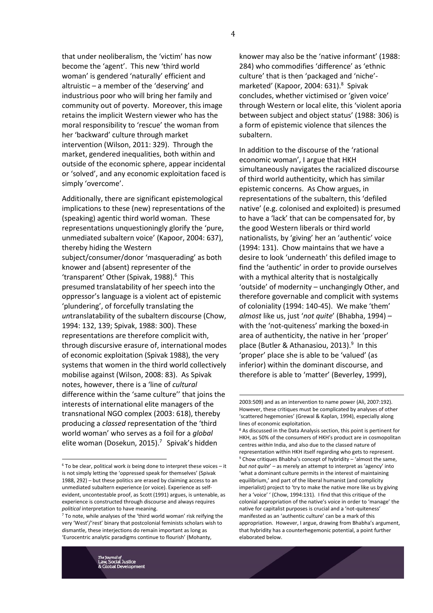that under neoliberalism, the 'victim' has now become the 'agent'. This new 'third world woman' is gendered 'naturally' efficient and altruistic – a member of the 'deserving' and industrious poor who will bring her family and community out of poverty. Moreover, this image retains the implicit Western viewer who has the moral responsibility to 'rescue' the woman from her 'backward' culture through market intervention (Wilson, 2011: 329). Through the market, gendered inequalities, both within and outside of the economic sphere, appear incidental or 'solved', and any economic exploitation faced is simply 'overcome'.

Additionally, there are significant epistemological implications to these (new) representations of the (speaking) agentic third world woman. These representations unquestioningly glorify the 'pure, unmediated subaltern voice' (Kapoor, 2004: 637), thereby hiding the Western subject/consumer/donor 'masquerading' as both knower and (absent) representer of the 'transparent' Other (Spivak, 1988). 6 This presumed translatability of her speech into the oppressor's language is a violent act of epistemic 'plundering', of forcefully translating the *un*translatability of the subaltern discourse (Chow, 1994: 132, 139; Spivak, 1988: 300). These representations are therefore complicit with, through discursive erasure of, international modes of economic exploitation (Spivak 1988), the very systems that women in the third world collectively mobilise against (Wilson, 2008: 83). As Spivak notes, however, there is a 'line of *cultural* difference within the 'same culture'' that joins the interests of international elite managers of the transnational NGO complex (2003: 618), thereby producing a *classed* representation of the 'third world woman' who serves as a foil for a *global* elite woman (Dosekun, 2015). 7 Spivak's hidden

knower may also be the 'native informant' (1988: 284) who commodifies 'difference' as 'ethnic culture' that is then 'packaged and 'niche' marketed' (Kapoor, 2004: 631). 8 Spivak concludes, whether victimised or 'given voice' through Western or local elite, this 'violent aporia between subject and object status' (1988: 306) is a form of epistemic violence that silences the subaltern.

In addition to the discourse of the 'rational economic woman', I argue that HKH simultaneously navigates the racialized discourse of third world authenticity, which has similar epistemic concerns. As Chow argues, in representations of the subaltern, this 'defiled native' (e.g. colonised and exploited) is presumed to have a 'lack' that can be compensated for, by the good Western liberals or third world nationalists, by 'giving' her an 'authentic' voice (1994: 131). Chow maintains that we have a desire to look 'underneath' this defiled image to find the 'authentic' in order to provide ourselves with a mythical alterity that is nostalgically 'outside' of modernity – unchangingly Other, and therefore governable and complicit with systems of coloniality (1994: 140-45). We make 'them' *almost* like us, just '*not quite*' (Bhabha, 1994) – with the 'not-quiteness' marking the boxed-in area of authenticity, the native in her 'proper' place (Butler & Athanasiou, 2013). 9 In this 'proper' place she is able to be 'valued' (as inferior) within the dominant discourse, and therefore is able to 'matter' (Beverley, 1999),

<u>.</u>

<sup>6</sup> To be clear, political work *is* being done to interpret these voices – it is not simply letting the 'oppressed speak for themselves' (Spivak 1988, 292) – but these politics are erased by claiming access to an unmediated subaltern experience (or voice). Experience as selfevident, uncontestable proof, as Scott (1991) argues, is untenable, as experience is constructed through discourse and always requires *political* interpretation to have meaning.

<sup>7</sup> To note, while analyses of the 'third world woman' risk reifying the very 'West'/'rest' binary that postcolonial feminists scholars wish to dismantle, these interjections do remain important as long as 'Eurocentric analytic paradigms continue to flourish' (Mohanty,

<sup>2003:509)</sup> and as an intervention to name power (Ali, 2007:192). However, these critiques must be complicated by analyses of other 'scattered hegemonies' (Grewal & Kaplan, 1994), especially along lines of economic exploitation.

<sup>&</sup>lt;sup>8</sup> As discussed in the Data Analysis section, this point is pertinent for HKH, as 50% of the consumers of HKH's product are in cosmopolitan centres *within* India, and also due to the classed nature of representation within HKH itself regarding who gets to represent.  $9$  Chow critiques Bhabha's concept of hybridity – 'almost the same, *but not quite*' – as merely an attempt to interpret as 'agency' into 'what a dominant culture permits in the interest of maintaining equilibrium,' and part of the liberal humanist (and complicity imperialist) project to 'try to make the native more like us by giving her a 'voice' ' (Chow, 1994:131). I find that this critique of the colonial appropriation of the native's voice in order to 'manage' the native for capitalist purposes is crucial and a 'not-quiteness' manifested as an 'authentic culture' can be a mark of this appropriation. However, I argue, drawing from Bhabha's argument, that hybridity has a counterhegemonic potential, a point further elaborated below.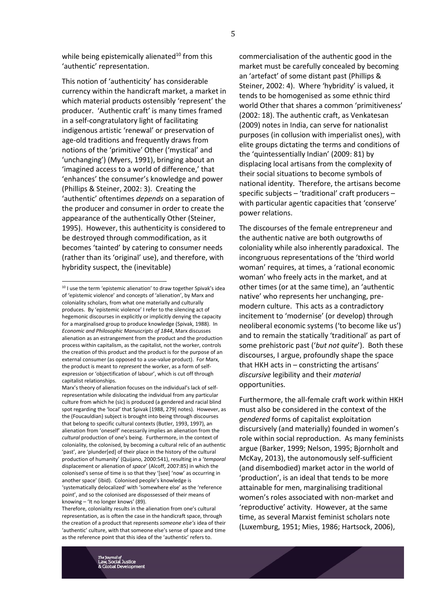while being epistemically alienated<sup>10</sup> from this 'authentic' representation.

This notion of 'authenticity' has considerable currency within the handicraft market, a market in which material products ostensibly 'represent' the producer. 'Authentic craft' is many times framed in a self-congratulatory light of facilitating indigenous artistic 'renewal' or preservation of age-old traditions and frequently draws from notions of the 'primitive' Other ('mystical' and 'unchanging') (Myers, 1991), bringing about an 'imagined access to a world of difference,' that 'enhances' the consumer's knowledge and power (Phillips & Steiner, 2002: 3). Creating the 'authentic' oftentimes *depends* on a separation of the producer and consumer in order to create the appearance of the authentically Other (Steiner, 1995). However, this authenticity is considered to be destroyed through commodification, as it becomes 'tainted' by catering to consumer needs (rather than its 'original' use), and therefore, with hybridity suspect, the (inevitable)

**.** 

commercialisation of the authentic good in the market must be carefully concealed by becoming an 'artefact' of some distant past (Phillips & Steiner, 2002: 4). Where 'hybridity' is valued, it tends to be homogenised as some ethnic third world Other that shares a common 'primitiveness' (2002: 18). The authentic craft, as Venkatesan (2009) notes in India, can serve for nationalist purposes (in collusion with imperialist ones), with elite groups dictating the terms and conditions of the 'quintessentially Indian' (2009: 81) by displacing local artisans from the complexity of their social situations to become symbols of national identity. Therefore, the artisans become specific subjects – 'traditional' craft producers – with particular agentic capacities that 'conserve' power relations.

The discourses of the female entrepreneur and the authentic native are both outgrowths of coloniality while also inherently paradoxical. The incongruous representations of the 'third world woman' requires, at times, a 'rational economic woman' who freely acts in the market, and at other times (or at the same time), an 'authentic native' who represents her unchanging, premodern culture. This acts as a contradictory incitement to 'modernise' (or develop) through neoliberal economic systems ('to become like us') and to remain the statically 'traditional' as part of some prehistoric past ('*but not quite*'). Both these discourses, I argue, profoundly shape the space that HKH acts in – constricting the artisans' *discursive* legibility and their *material* opportunities.

Furthermore, the all-female craft work within HKH must also be considered in the context of the *gendered* forms of capitalist exploitation discursively (and materially) founded in women's role within social reproduction. As many feminists argue (Barker, 1999; Nelson, 1995; Bjornholt and McKay, 2013), the autonomously self-sufficient (and disembodied) market actor in the world of 'production', is an ideal that tends to be more attainable for men, marginalising traditional women's roles associated with non-market and 'reproductive' activity. However, at the same time, as several Marxist feminist scholars note (Luxemburg, 1951; Mies, 1986; Hartsock, 2006),

<sup>&</sup>lt;sup>10</sup> I use the term 'epistemic alienation' to draw together Spivak's idea of 'epistemic violence' and concepts of 'alienation', by Marx and coloniality scholars, from what one materially and culturally produces. By 'epistemic violence' I refer to the silencing act of hegemonic discourses in explicitly or implicitly denying the capacity for a marginalised group to produce knowledge (Spivak, 1988). In *Economic and Philosophic Manuscripts of 1844*, Marx discusses alienation as an estrangement from the product and the production process within capitalism, as the capitalist, not the worker, controls the creation of this product and the product is for the purpose of an external consumer (as opposed to a use-value product). For Marx, the product is meant to *represent* the worker, as a form of selfexpression or 'objectification of labour', which is cut off through capitalist relationships.

Marx's theory of alienation focuses on the individual's lack of selfrepresentation while dislocating the individual from any particular culture from which he (sic) is produced (a gendered and racial blind spot regarding the 'local' that Spivak [1988, 279] notes). However, as the (Foucauldian) subject is brought into being through discourses that belong to specific cultural contexts (Butler, 1993, 1997), an alienation from 'oneself' necessarily implies an alienation from the *cultural* production of one's being. Furthermore, in the context of coloniality, the colonised, by becoming a cultural relic of an authentic 'past', are 'plunder[ed] of their place in the history of the cultural production of humanity' (Quijano, 2000:541), resulting in a '*temporal* displacement or alienation of *space*' (Alcoff, 2007:85) in which the colonised's sense of time is so that they '[see] 'now' as occurring in another space' (ibid). Colonised people's knowledge is 'systematically delocalized' with 'somewhere else' as the 'reference point', and so the colonised are dispossessed of their means of knowing – 'It no longer knows' (89).

Therefore, coloniality results in the alienation from one's cultural representation, as is often the case in the handicraft space, through the creation of a product that represents *someone else's* idea of their 'authentic' culture, with that someone else's sense of space and time as the reference point that this idea of the 'authentic' refers to.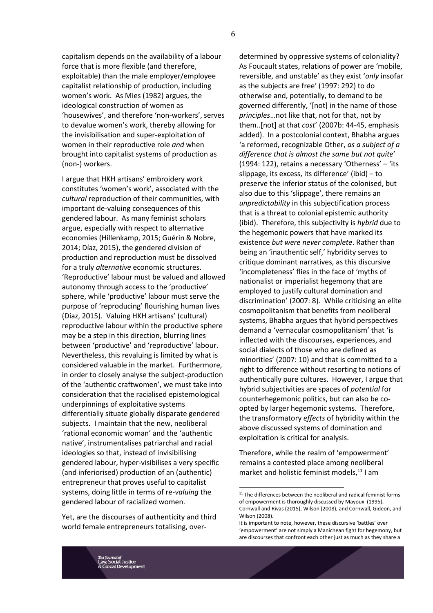capitalism depends on the availability of a labour force that is more flexible (and therefore, exploitable) than the male employer/employee capitalist relationship of production, including women's work. As Mies (1982) argues, the ideological construction of women as 'housewives', and therefore 'non-workers', serves to devalue women's work, thereby allowing for the invisibilisation and super-exploitation of women in their reproductive role *and* when brought into capitalist systems of production as (non-) workers.

I argue that HKH artisans' embroidery work constitutes 'women's work', associated with the *cultural* reproduction of their communities, with important de-valuing consequences of this gendered labour. As many feminist scholars argue, especially with respect to alternative economies (Hillenkamp, 2015; Guérin & Nobre, 2014; Díaz, 2015), the gendered division of production and reproduction must be dissolved for a truly *alternative* economic structures. 'Reproductive' labour must be valued and allowed autonomy through access to the 'productive' sphere, while 'productive' labour must serve the purpose of 'reproducing' flourishing human lives (Díaz, 2015). Valuing HKH artisans' (cultural) reproductive labour within the productive sphere may be a step in this direction, blurring lines between 'productive' and 'reproductive' labour. Nevertheless, this revaluing is limited by what is considered valuable in the market. Furthermore, in order to closely analyse the subject-production of the 'authentic craftwomen', we must take into consideration that the racialised epistemological underpinnings of exploitative systems differentially situate globally disparate gendered subjects. I maintain that the new, neoliberal 'rational economic woman' and the 'authentic native', instrumentalises patriarchal and racial ideologies so that, instead of invisibilising gendered labour, hyper-visibilises a very specific (and inferiorised) production of an (authentic) entrepreneur that proves useful to capitalist systems, doing little in terms of re-*valuing* the gendered labour of racialized women.

Yet, are the discourses of authenticity and third world female entrepreneurs totalising, overdetermined by oppressive systems of coloniality? As Foucault states, relations of power are 'mobile, reversible, and unstable' as they exist '*only* insofar as the subjects are free' (1997: 292) to do otherwise and, potentially, to demand to be governed differently, '[not] in the name of those *principles*…not like that, not for that, not by them..[not] at that *cost*' (2007b: 44-45, emphasis added). In a postcolonial context, Bhabha argues 'a reformed, recognizable Other, *as a subject of a difference that is almost the same but not quite*' (1994: 122), retains a necessary 'Otherness' – 'its slippage, its excess, its difference' (ibid) – to preserve the inferior status of the colonised, but also due to this 'slippage', there remains an *unpredictability* in this subjectification process that is a threat to colonial epistemic authority (ibid). Therefore, this subjectivity is *hybrid* due to the hegemonic powers that have marked its existence *but were never complete*. Rather than being an 'inauthentic self,' hybridity serves to critique dominant narratives, as this discursive 'incompleteness' flies in the face of 'myths of nationalist or imperialist hegemony that are employed to justify cultural domination and discrimination' (2007: 8). While criticising an elite cosmopolitanism that benefits from neoliberal systems, Bhabha argues that hybrid perspectives demand a 'vernacular cosmopolitanism' that 'is inflected with the discourses, experiences, and social dialects of those who are defined as minorities' (2007: 10) and that is committed to a right to difference without resorting to notions of authentically pure cultures. However, I argue that hybrid subjectivities are spaces of *potential* for counterhegemonic politics, but can also be coopted by larger hegemonic systems. Therefore, the transformatory *effects* of hybridity within the above discussed systems of domination and exploitation is critical for analysis.

Therefore, while the realm of 'empowerment' remains a contested place among neoliberal market and holistic feminist models, $^{11}$  I am

<sup>&</sup>lt;sup>11</sup> The differences between the neoliberal and radical feminist forms of empowerment is thoroughly discussed by Mayoux (1995), Cornwall and Rivas (2015), Wilson (2008), and Cornwall, Gideon, and Wilson (2008).

It is important to note, however, these discursive 'battles' over 'empowerment' are not simply a Manichean fight for hegemony, but are discourses that confront each other just as much as they share a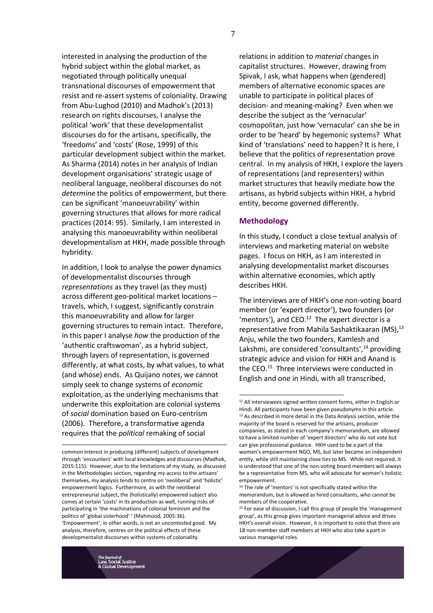interested in analysing the production of the hybrid subject within the global market, as negotiated through politically unequal transnational discourses of empowerment that resist and re-assert systems of coloniality. Drawing from Abu-Lughod (2010) and Madhok's (2013) research on rights discourses, I analyse the political 'work' that these developmentalist discourses do for the artisans, specifically, the 'freedoms' and 'costs' (Rose, 1999) of this particular development subject within the market. As Sharma (2014) notes in her analysis of Indian development organisations' strategic usage of neoliberal language, neoliberal discourses do not *determine* the politics of empowerment, but there can be significant 'manoeuvrability' within governing structures that allows for more radical practices (2014: 95). Similarly, I am interested in analysing this manoeuvrability within neoliberal developmentalism at HKH, made possible through hybridity.

In addition, I look to analyse the power dynamics of developmentalist discourses through *representations* as they travel (as they must) across different geo-political market locations – travels, which, I suggest, significantly constrain this manoeuvrability and allow for larger governing structures to remain intact. Therefore, in this paper I analyse *how* the production of the 'authentic craftswoman', as a hybrid subject, through layers of representation, is governed differently, at what costs, by what values, to what (and whose) ends. As Quijano notes, we cannot simply seek to change systems of *economic* exploitation, as the underlying mechanisms that underwrite this exploitation are colonial systems of *social* domination based on Euro-centrism (2006). Therefore, a transformative agenda requires that the *political* remaking of social

relations in addition to *material* changes in capitalist structures. However, drawing from Spivak, I ask, what happens when (gendered) members of alternative economic spaces are unable to participate in political places of decision- and meaning-making? Even when we describe the subject as the 'vernacular' cosmopolitan, just how 'vernacular' can she be in order to be 'heard' by hegemonic systems? What kind of 'translations' need to happen? It is here, I believe that the politics of representation prove central. In my analysis of HKH, I explore the layers of representations (and representers) within market structures that heavily mediate how the artisans, as hybrid subjects within HKH, a hybrid entity, become governed differently.

#### **Methodology**

In this study, I conduct a close textual analysis of interviews and marketing material on website pages. I focus on HKH, as I am interested in analysing developmentalist market discourses within alternative economies, which aptly describes HKH.

The interviews are of HKH's one non-voting board member (or 'expert director'), two founders (or 'mentors'), and  $CEO.<sup>12</sup>$  The expert director is a representative from Mahila Sashaktikaaran (MS), $^{13}$ Anju, while the two founders, Kamlesh and Lakshmi, are considered 'consultants',<sup>14</sup> providing strategic advice and vision for HKH and Anand is the CEO.<sup>15</sup> Three interviews were conducted in English and one in Hindi, with all transcribed,

common interest in producing (different) subjects of development through 'encounters' with local knowledges and discourses (Madhok, 2015:115). However, due to the limitations of my study, as discussed in the Methodologies section, regarding my access to the artisans' themselves, my analysis tends to centre on 'neoliberal' and 'holistic' empowerment logics. Furthermore, as with the neoliberal entrepreneurial subject, the (holistically) empowered subject also comes at certain 'costs' in its production as well, running risks of participating in 'the machinations of colonial feminism and the politics of 'global sisterhood' ' (Mahmood, 2005:36). 'Empowerment', in other words, is not an uncontested good. My analysis, therefore, centres on the political effects of these developmentalist discourses within systems of coloniality.

l <sup>12</sup> All interviewees signed written consent forms, either in English or Hindi. All participants have been given pseudonyms in this article. <sup>13</sup> As described in more detail in the Data Analysis section, while the majority of the board is reserved for the artisans, producer companies, as stated in each company's memorandum, are allowed to have a limited number of 'expert directors' who do not vote but can give professional guidance. HKH used to be a part of the women's empowerment NGO, MS, but later became an independent entity, while still maintaining close ties to MS. While not required, it is understood that one of the non-voting board members will always be a representative from MS, who will advocate for women's holistic empowerment.

<sup>&</sup>lt;sup>14</sup> The role of 'mentors' is not specifically stated within the memorandum, but is allowed as hired consultants, who cannot be members of the cooperative.

 $15$  For ease of discussion, I call this group of people the 'management group', as this group gives important managerial advice and drives HKH's overall vision. However, it is important to note that there are 18 non-member staff members at HKH who also take a part in various managerial roles.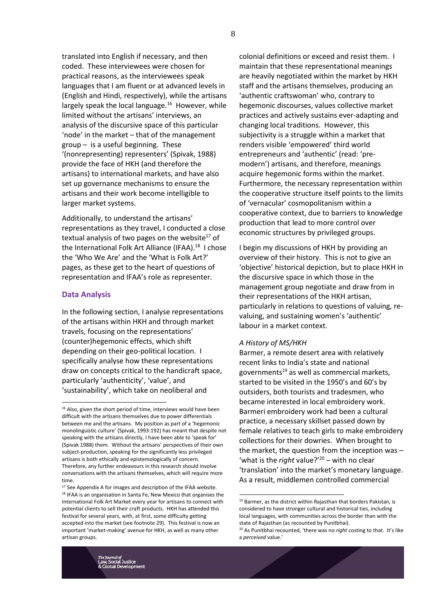translated into English if necessary, and then coded. These interviewees were chosen for practical reasons, as the interviewees speak languages that I am fluent or at advanced levels in (English and Hindi, respectively), while the artisans largely speak the local language.<sup>16</sup> However, while limited without the artisans' interviews, an analysis of the discursive space of this particular 'node' in the market – that of the management group – is a useful beginning. These '(nonrepresenting) representers' (Spivak, 1988) provide the face of HKH (and therefore the artisans) to international markets, and have also set up governance mechanisms to ensure the artisans and their work become intelligible to larger market systems.

Additionally, to understand the artisans' representations as they travel, I conducted a close textual analysis of two pages on the website<sup>17</sup> of the International Folk Art Alliance (IFAA).<sup>18</sup> I chose the 'Who We Are' and the 'What is Folk Art?' pages, as these get to the heart of questions of representation and IFAA's role as representer.

#### **Data Analysis**

**.** 

In the following section, I analyse representations of the artisans within HKH and through market travels, focusing on the representations' (counter)hegemonic effects, which shift depending on their geo-political location. I specifically analyse how these representations draw on concepts critical to the handicraft space, particularly 'authenticity', 'value', and 'sustainability', which take on neoliberal and

colonial definitions or exceed and resist them. I maintain that these representational meanings are heavily negotiated within the market by HKH staff and the artisans themselves, producing an 'authentic craftswoman' who, contrary to hegemonic discourses, values collective market practices and actively sustains ever-adapting and changing local traditions. However, this subjectivity is a struggle within a market that renders visible 'empowered' third world entrepreneurs and 'authentic' (read: 'premodern') artisans, and therefore, meanings acquire hegemonic forms within the market. Furthermore, the necessary representation within the cooperative structure itself points to the limits of 'vernacular' cosmopolitanism within a cooperative context, due to barriers to knowledge production that lead to more control over economic structures by privileged groups.

I begin my discussions of HKH by providing an overview of their history. This is not to give an 'objective' historical depiction, but to place HKH in the discursive space in which those in the management group negotiate and draw from in their representations of the HKH artisan, particularly in relations to questions of valuing, revaluing, and sustaining women's 'authentic' labour in a market context.

#### *A History of MS/HKH*

l

Barmer, a remote desert area with relatively recent links to India's state and national governments<sup>19</sup> as well as commercial markets, started to be visited in the 1950's and 60's by outsiders, both tourists and tradesmen, who became interested in local embroidery work. Barmeri embroidery work had been a cultural practice, a necessary skillset passed down by female relatives to teach girls to make embroidery collections for their dowries. When brought to the market, the question from the inception was – 'what is the *right* value?' <sup>20</sup> – with no clear 'translation' into the market's monetary language. As a result, middlemen controlled commercial

 $16$  Also, given the short period of time, interviews would have been difficult with the artisans themselves due to power differentials between me and the artisans. My position as part of a 'hegemonic monolinguistic culture' (Spivak, 1993:192) has meant that despite not speaking with the artisans directly, I have been able to 'speak for' (Spivak 1988) them. Without the artisans' perspectives of their own subject-production, speaking for the significantly less privileged artisans is both ethically and epistemologically of concern. Therefore, any further endeavours in this research should involve conversations with the artisans themselves, which will require more time.

<sup>17</sup> See Appendix A for images and description of the IFAA website. <sup>18</sup> IFAA is an organisation in Santa Fe, New Mexico that organises the International Folk Art Market every year for artisans to connect with potential clients to sell their craft products. HKH has attended this festival for several years, with, at first, some difficulty getting accepted into the market (see footnote 29). This festival is now an important 'market-making' avenue for HKH, as well as many other artisan groups.

 $^{19}$  Barmer, as the district within Rajasthan that borders Pakistan, is considered to have stronger cultural and historical ties, including local languages, with communities across the border than with the state of Rajasthan (as recounted by Punitbhai).

<sup>20</sup> As Punitbhai recounted, 'there was no *right* costing to that. It's like a *perceived* value.'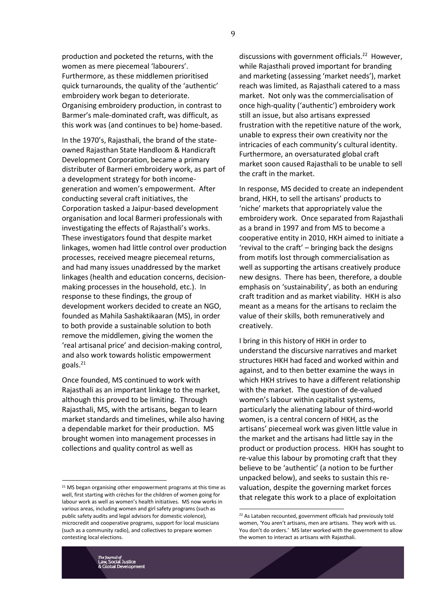production and pocketed the returns, with the women as mere piecemeal 'labourers'. Furthermore, as these middlemen prioritised quick turnarounds, the quality of the 'authentic' embroidery work began to deteriorate. Organising embroidery production, in contrast to Barmer's male-dominated craft, was difficult, as this work was (and continues to be) home-based.

In the 1970's, Rajasthali, the brand of the stateowned Rajasthan State Handloom & Handicraft Development Corporation, became a primary distributer of Barmeri embroidery work, as part of a development strategy for both incomegeneration and women's empowerment. After conducting several craft initiatives, the Corporation tasked a Jaipur-based development organisation and local Barmeri professionals with investigating the effects of Rajasthali's works. These investigators found that despite market linkages, women had little control over production processes, received meagre piecemeal returns, and had many issues unaddressed by the market linkages (health and education concerns, decisionmaking processes in the household, etc.). In response to these findings, the group of development workers decided to create an NGO, founded as Mahila Sashaktikaaran (MS), in order to both provide a sustainable solution to both remove the middlemen, giving the women the 'real artisanal price' and decision-making control, and also work towards holistic empowerment goals.<sup>21</sup>

Once founded, MS continued to work with Rajasthali as an important linkage to the market, although this proved to be limiting. Through Rajasthali, MS, with the artisans, began to learn market standards and timelines, while also having a dependable market for their production. MS brought women into management processes in collections and quality control as well as

discussions with government officials.<sup>22</sup> However, while Rajasthali proved important for branding and marketing (assessing 'market needs'), market reach was limited, as Rajasthali catered to a mass market. Not only was the commercialisation of once high-quality ('authentic') embroidery work still an issue, but also artisans expressed frustration with the repetitive nature of the work, unable to express their own creativity nor the intricacies of each community's cultural identity. Furthermore, an oversaturated global craft market soon caused Rajasthali to be unable to sell the craft in the market.

In response, MS decided to create an independent brand, HKH, to sell the artisans' products to 'niche' markets that appropriately value the embroidery work. Once separated from Rajasthali as a brand in 1997 and from MS to become a cooperative entity in 2010, HKH aimed to initiate a 'revival to the craft' – bringing back the designs from motifs lost through commercialisation as well as supporting the artisans creatively produce new designs. There has been, therefore, a double emphasis on 'sustainability', as both an enduring craft tradition and as market viability. HKH is also meant as a means for the artisans to reclaim the value of their skills, both remuneratively and creatively.

I bring in this history of HKH in order to understand the discursive narratives and market structures HKH had faced and worked within and against, and to then better examine the ways in which HKH strives to have a different relationship with the market. The question of de-valued women's labour within capitalist systems, particularly the alienating labour of third-world women, is a central concern of HKH, as the artisans' piecemeal work was given little value in the market and the artisans had little say in the product or production process. HKH has sought to re-value this labour by promoting craft that they believe to be 'authentic' (a notion to be further unpacked below), and seeks to sustain this revaluation, despite the governing market forces that relegate this work to a place of exploitation

l

<sup>21</sup> MS began organising other empowerment programs at this time as well, first starting with crèches for the children of women going for labour work as well as women's health initiatives. MS now works in various areas, including women and girl safety programs (such as public safety audits and legal advisors for domestic violence), microcredit and cooperative programs, support for local musicians (such as a community radio), and collectives to prepare women contesting local elections.

<sup>22</sup> As Lataben recounted, government officials had previously told women, 'You aren't artisans, men are artisans. They work with us. You don't do orders.' MS later worked with the government to allow the women to interact as artisans with Rajasthali.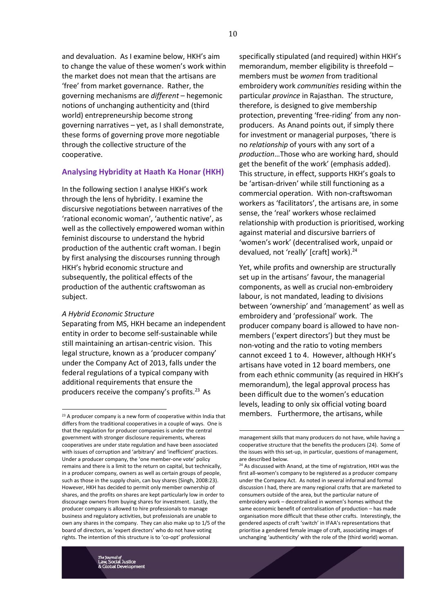and devaluation. As I examine below, HKH's aim to change the value of these women's work within the market does not mean that the artisans are 'free' from market governance. Rather, the governing mechanisms are *different* – hegemonic notions of unchanging authenticity and (third world) entrepreneurship become strong governing narratives – yet, as I shall demonstrate, these forms of governing prove more negotiable through the collective structure of the cooperative.

#### **Analysing Hybridity at Haath Ka Honar (HKH)**

In the following section I analyse HKH's work through the lens of hybridity. I examine the discursive negotiations between narratives of the 'rational economic woman', 'authentic native', as well as the collectively empowered woman within feminist discourse to understand the hybrid production of the authentic craft woman. I begin by first analysing the discourses running through HKH's hybrid economic structure and subsequently, the political effects of the production of the authentic craftswoman as subject.

#### *A Hybrid Economic Structure*

 $\overline{a}$ 

Separating from MS, HKH became an independent entity in order to become self-sustainable while still maintaining an artisan-centric vision. This legal structure, known as a 'producer company' under the Company Act of 2013, falls under the federal regulations of a typical company with additional requirements that ensure the producers receive the company's profits.<sup>23</sup> As

specifically stipulated (and required) within HKH's memorandum, member eligibility is threefold – members must be *women* from traditional embroidery work *communities* residing within the particular *province* in Rajasthan. The structure, therefore, is designed to give membership protection, preventing 'free-riding' from any nonproducers. As Anand points out, if simply there for investment or managerial purposes, 'there is no *relationship* of yours with any sort of a *production*…Those who are working hard, should get the benefit of the work' (emphasis added). This structure, in effect, supports HKH's goals to be 'artisan-driven' while still functioning as a commercial operation. With non-craftswoman workers as 'facilitators', the artisans are, in some sense, the 'real' workers whose reclaimed relationship with production is prioritised, working against material and discursive barriers of 'women's work' (decentralised work, unpaid or devalued, not 'really' [craft] work).<sup>24</sup>

Yet, while profits and ownership are structurally set up in the artisans' favour, the managerial components, as well as crucial non-embroidery labour, is not mandated, leading to divisions between 'ownership' and 'management' as well as embroidery and 'professional' work. The producer company board is allowed to have nonmembers ('expert directors') but they must be non-voting and the ratio to voting members cannot exceed 1 to 4. However, although HKH's artisans have voted in 12 board members, one from each ethnic community (as required in HKH's memorandum), the legal approval process has been difficult due to the women's education levels, leading to only six official voting board members. Furthermore, the artisans, while

 $\overline{a}$ 

<sup>&</sup>lt;sup>23</sup> A producer company is a new form of cooperative within India that differs from the traditional cooperatives in a couple of ways. One is that the regulation for producer companies is under the central government with stronger disclosure requirements, whereas cooperatives are under state regulation and have been associated with issues of corruption and 'arbitrary' and 'inefficient' practices. Under a producer company, the 'one member-one vote' policy remains and there is a limit to the return on capital, but technically, in a producer company, owners as well as certain groups of people, such as those in the supply chain, can buy shares (Singh, 2008:23). However, HKH has decided to permit only member ownership of shares, and the profits on shares are kept particularly low in order to discourage owners from buying shares for investment. Lastly, the producer company is allowed to hire professionals to manage business and regulatory activities, but professionals are unable to own any shares in the company. They can also make up to 1/5 of the board of directors, as 'expert directors' who do not have voting rights. The intention of this structure is to 'co-opt' professional

management skills that many producers do not have, while having a cooperative structure that the benefits the producers (24). Some of the issues with this set-up, in particular, questions of management, are described below.

<sup>&</sup>lt;sup>24</sup> As discussed with Anand, at the time of registration, HKH was the first all-women's company to be registered as a producer company under the Company Act. As noted in several informal and formal discussion I had, there are many regional crafts that are marketed to consumers outside of the area, but the particular nature of embroidery work – decentralised in women's homes without the same economic benefit of centralisation of production – has made organisation more difficult that these other crafts. Interestingly, the gendered aspects of craft 'switch' in IFAA's representations that prioritise a gendered female image of craft, associating images of unchanging 'authenticity' with the role of the (third world) woman.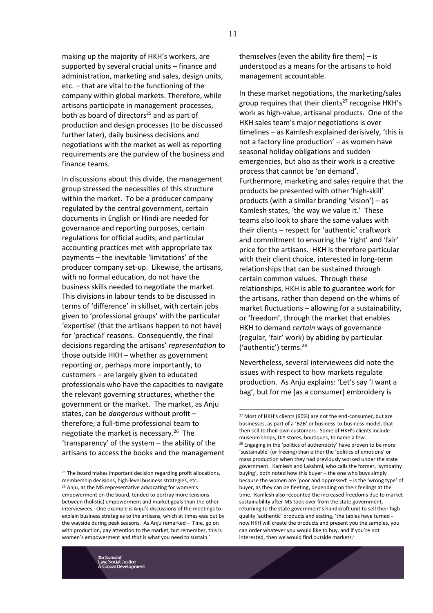making up the majority of HKH's workers, are supported by several crucial units – finance and administration, marketing and sales, design units, etc. – that are vital to the functioning of the company within global markets. Therefore, while artisans participate in management processes, both as board of directors<sup>25</sup> and as part of production and design processes (to be discussed further later), daily business decisions and negotiations with the market as well as reporting requirements are the purview of the business and finance teams.

In discussions about this divide, the management group stressed the necessities of this structure within the market. To be a producer company regulated by the central government, certain documents in English or Hindi are needed for governance and reporting purposes, certain regulations for official audits, and particular accounting practices met with appropriate tax payments – the inevitable 'limitations' of the producer company set-up. Likewise, the artisans, with no formal education, do not have the business skills needed to negotiate the market. This divisions in labour tends to be discussed in terms of 'difference' in skillset, with certain jobs given to 'professional groups' with the particular 'expertise' (that the artisans happen to not have) for 'practical' reasons. Consequently, the final decisions regarding the artisans' *representation* to those outside HKH – whether as government reporting or, perhaps more importantly, to customers – are largely given to educated professionals who have the capacities to navigate the relevant governing structures, whether the government or the market. The market, as Anju states, can be *dangerous* without profit – therefore, a full-time professional team to negotiate the market is necessary.<sup>26</sup> The 'transparency' of the system – the ability of the artisans to access the books and the management themselves (even the ability fire them) – is understood as a means for the artisans to hold management accountable.

In these market negotiations, the marketing/sales group requires that their clients<sup>27</sup> recognise HKH's work as high-value, artisanal products. One of the HKH sales team's major negotiations is over timelines – as Kamlesh explained derisively, 'this is not a factory line production' – as women have seasonal holiday obligations and sudden emergencies, but also as their work is a creative process that cannot be 'on demand'. Furthermore, marketing and sales require that the products be presented with other 'high-skill' products (with a similar branding 'vision') – as Kamlesh states, 'the way *we* value it.' These teams also look to share the same values with their clients – respect for 'authentic' craftwork and commitment to ensuring the 'right' and 'fair' price for the artisans. HKH is therefore particular with their client choice, interested in long-term relationships that can be sustained through certain common values. Through these relationships, HKH is able to guarantee work for the artisans, rather than depend on the whims of market fluctuations – allowing for a sustainability, or 'freedom', through the market that enables HKH to demand *certain* ways of governance (regular, 'fair' work) by abiding by particular ('authentic') terms.<sup>28</sup>

Nevertheless, several interviewees did note the issues with respect to how markets regulate production. As Anju explains: 'Let's say 'I want a bag', but for me [as a consumer] embroidery is

 $\overline{a}$ 

<sup>&</sup>lt;sup>25</sup> The board makes important decision regarding profit allocations, membership decisions, high-level business strategies, etc. <sup>26</sup> Anju, as the MS representative advocating for women's empowerment on the board, tended to portray more tensions between (holistic) empowerment and market goals than the other interviewees. One example is Anju's discussions of the meetings to explain business strategies to the artisans, which at times was put by the wayside during peak seasons. As Anju remarked – 'Fine, go on with production, pay attention to the market, but remember, this is women's empowerment and *that* is what you need to sustain.'

<sup>&</sup>lt;sup>27</sup> Most of HKH's clients (60%) are not the end-consumer, but are businesses, as part of a 'B2B' or business-to-business model, that then sell to their own customers. Some of HKH's clients include museum shops, DIY stores, boutiques, to name a few. <sup>28</sup> Engaging in the 'politics of authenticity' have proven to be more 'sustainable' (or freeing) than either the 'politics of emotions' or mass production when they had previously worked under the state government. Kamlesh and Lakshmi, who calls the former, 'sympathy buying', both noted how this buyer – the one who buys simply because the women are 'poor and oppressed' – is the 'wrong type' of buyer, as they can be fleeting, depending on their feelings at the time. Kamlesh also recounted the increased freedoms due to market sustainability after MS took over from the state government, returning to the state government's handicraft unit to sell their high quality 'authentic' products and stating, 'the tables have turned now HKH will create the products and present you the samples, you can order whatever you would like to buy, and if you're not interested, then we would find outside markets.'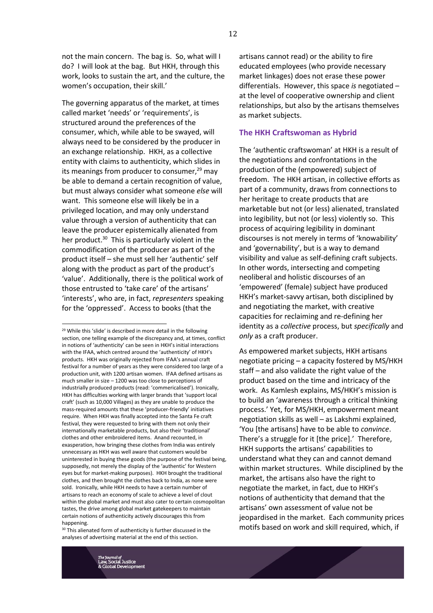not the main concern. The bag is. So, what will I do? I will look at the bag. But HKH, through this work, looks to sustain the art, and the culture, the women's occupation, their skill.'

The governing apparatus of the market, at times called market 'needs' or 'requirements', is structured around the preferences of the consumer, which, while able to be swayed, will always need to be considered by the producer in an exchange relationship. HKH, as a collective entity with claims to authenticity, which slides in its meanings from producer to consumer, $29$  may be able to demand a certain recognition of value, but must always consider what someone *else* will want. This someone else will likely be in a privileged location, and may only understand value through a version of authenticity that can leave the producer epistemically alienated from her product.<sup>30</sup> This is particularly violent in the commodification of the producer as part of the product itself – she must sell her 'authentic' self along with the product as part of the product's 'value'. Additionally, there is the political work of those entrusted to 'take care' of the artisans' 'interests', who are, in fact, *representers* speaking for the 'oppressed'. Access to books (that the

 $\overline{a}$ 

 $30$  This alienated form of authenticity is further discussed in the analyses of advertising material at the end of this section.

artisans cannot read) or the ability to fire educated employees (who provide necessary market linkages) does not erase these power differentials. However, this space *is* negotiated – at the level of cooperative ownership and client relationships, but also by the artisans themselves as market subjects.

#### **The HKH Craftswoman as Hybrid**

The 'authentic craftswoman' at HKH is a result of the negotiations and confrontations in the production of the (empowered) subject of freedom. The HKH artisan, in collective efforts as part of a community, draws from connections to her heritage to create products that are marketable but not (or less) alienated, translated into legibility, but not (or less) violently so. This process of acquiring legibility in dominant discourses is not merely in terms of 'knowability' and 'governability', but is a way to demand visibility and value as self-defining craft subjects. In other words, intersecting and competing neoliberal and holistic discourses of an 'empowered' (female) subject have produced HKH's market-savvy artisan, both disciplined by and negotiating the market, with creative capacities for reclaiming and re-defining her identity as a *collective* process, but *specifically* and *only* as a craft producer.

As empowered market subjects, HKH artisans negotiate pricing – a capacity fostered by MS/HKH staff – and also validate the right value of the product based on the time and intricacy of the work. As Kamlesh explains, MS/HKH's mission is to build an 'awareness through a critical thinking process.' Yet, for MS/HKH, empowerment meant negotiation skills as well – as Lakshmi explained, 'You [the artisans] have to be able to *convince*. There's a struggle for it [the price].' Therefore, HKH supports the artisans' capabilities to understand what they can and cannot demand within market structures. While disciplined by the market, the artisans also have the right to negotiate the market, in fact, due to HKH's notions of authenticity that demand that the artisans' own assessment of value not be jeopardised in the market. Each community prices motifs based on work and skill required, which, if

<sup>&</sup>lt;sup>29</sup> While this 'slide' is described in more detail in the following section, one telling example of the discrepancy and, at times, conflict in notions of 'authenticity' can be seen in HKH's initial interactions with the IFAA, which centred around the 'authenticity' of HKH's products. HKH was originally rejected from IFAA's annual craft festival for a number of years as they were considered too large of a production unit, with 1200 artisan women. IFAA defined artisans as much smaller in size – 1200 was too close to perceptions of industrially produced products (read: 'commericalised'). Ironically, HKH has difficulties working with larger brands that 'support local craft' (such as 10,000 Villages) as they are unable to produce the mass-required amounts that these 'producer-friendly' initiatives require. When HKH was finally accepted into the Santa Fe craft festival, they were requested to bring with them not only their internationally marketable products, but also their 'traditional' clothes and other embroidered items. Anand recounted, in exasperation, how bringing these clothes from India was entirely unnecessary as HKH was well aware that customers would be uninterested in buying these goods (the purpose of the festival being, supposedly, not merely the display of the 'authentic' for Western eyes but for market-making purposes). HKH brought the traditional clothes, and then brought the clothes back to India, as none were sold. Ironically, while HKH needs to have a certain number of artisans to reach an economy of scale to achieve a level of clout within the global market and must also cater to certain cosmopolitan tastes, the drive among global market gatekeepers to maintain certain notions of authenticity actively discourages this from happening.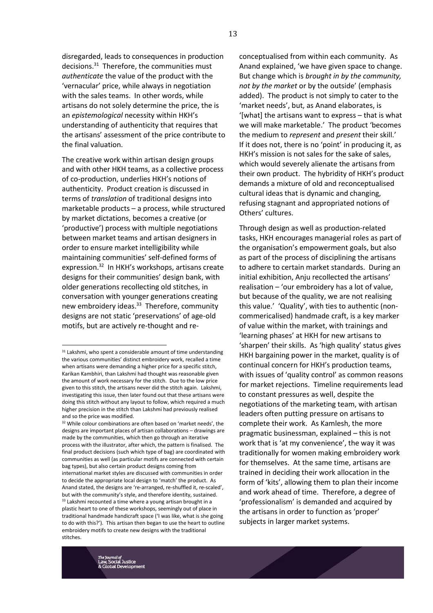disregarded, leads to consequences in production decisions.<sup>31</sup> Therefore, the communities must *authenticate* the value of the product with the 'vernacular' price, while always in negotiation with the sales teams. In other words, while artisans do not solely determine the price, the is an *epistemological* necessity within HKH's understanding of authenticity that requires that the artisans' assessment of the price contribute to the final valuation.

The creative work within artisan design groups and with other HKH teams, as a collective process of co-production, underlies HKH's notions of authenticity. Product creation is discussed in terms of *translation* of traditional designs into marketable products – a process, while structured by market dictations, becomes a creative (or 'productive') process with multiple negotiations between market teams and artisan designers in order to ensure market intelligibility while maintaining communities' self-defined forms of expression.<sup>32</sup> In HKH's workshops, artisans create designs for their communities' design bank, with older generations recollecting old stitches, in conversation with younger generations creating new embroidery ideas.<sup>33</sup> Therefore, community designs are not static 'preservations' of age-old motifs, but are actively re-thought and re-

 $\overline{a}$ 

conceptualised from within each community. As Anand explained, 'we have given space to change. But change which is *brought in by the community, not by the market* or by the outside' (emphasis added). The product is not simply to cater to the 'market needs', but, as Anand elaborates, is '[what] the artisans want to express – that is what we will make marketable.' The product 'becomes the medium to *represent* and *present* their skill.' If it does not, there is no 'point' in producing it, as HKH's mission is not sales for the sake of sales, which would severely alienate the artisans from their own product. The hybridity of HKH's product demands a mixture of old and reconceptualised cultural ideas that is dynamic and changing, refusing stagnant and appropriated notions of Others' cultures.

Through design as well as production-related tasks, HKH encourages managerial roles as part of the organisation's empowerment goals, but also as part of the process of disciplining the artisans to adhere to certain market standards. During an initial exhibition, Anju recollected the artisans' realisation – 'our embroidery has a lot of value, but because of the quality, we are not realising this value.' 'Quality', with ties to authentic (noncommericalised) handmade craft, is a key marker of value within the market, with trainings and 'learning phases' at HKH for new artisans to 'sharpen' their skills. As 'high quality' status gives HKH bargaining power in the market, quality is of continual concern for HKH's production teams, with issues of 'quality control' as common reasons for market rejections. Timeline requirements lead to constant pressures as well, despite the negotiations of the marketing team, with artisan leaders often putting pressure on artisans to complete their work. As Kamlesh, the more pragmatic businessman, explained – this is not work that is 'at my convenience', the way it was traditionally for women making embroidery work for themselves. At the same time, artisans are trained in deciding their work allocation in the form of 'kits', allowing them to plan their income and work ahead of time. Therefore, a degree of 'professionalism' is demanded and acquired by the artisans in order to function as 'proper' subjects in larger market systems.



<sup>&</sup>lt;sup>31</sup> Lakshmi, who spent a considerable amount of time understanding the various communities' distinct embroidery work, recalled a time when artisans were demanding a higher price for a specific stitch, Karikan Kambhiri, than Lakshmi had thought was reasonable given the amount of work necessary for the stitch. Due to the low price given to this stitch, the artisans never did the stitch again. Lakshmi, investigating this issue, then later found out that these artisans were doing this stitch without any layout to follow, which required a much higher precision in the stitch than Lakshmi had previously realised and so the price was modified.

<sup>&</sup>lt;sup>32</sup> While colour combinations are often based on 'market needs', the designs are important places of artisan collaborations – drawings are made by the communities, which then go through an iterative process with the illustrator, after which, the pattern is finalised. The final product decisions (such which type of bag) are coordinated with communities as well (as particular motifs are connected with certain bag types), but also certain product designs coming from international market styles are discussed with communities in order to decide the appropriate local design to 'match' the product. As Anand stated, the designs are 're-arranged, re-shuffled it, re-scaled', but with the community's style, and therefore identity, sustained.  $33$  Lakshmi recounted a time where a young artisan brought in a plastic heart to one of these workshops, seemingly out of place in traditional handmade handicraft space ('I was like, what is she going to do with this?'). This artisan then began to use the heart to outline embroidery motifs to create new designs with the traditional stitches.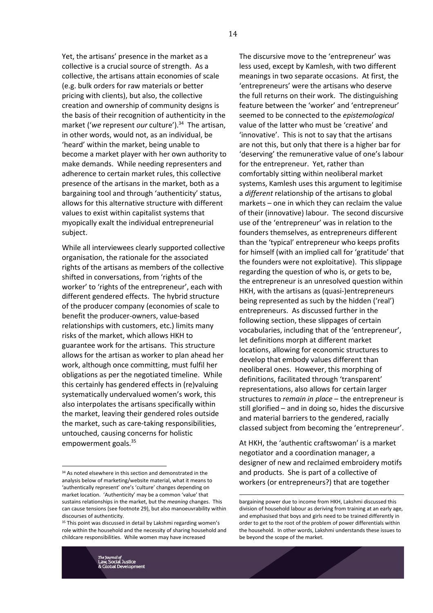Yet, the artisans' presence in the market as a collective is a crucial source of strength. As a collective, the artisans attain economies of scale (e.g. bulk orders for raw materials or better pricing with clients), but also, the collective creation and ownership of community designs is the basis of their recognition of authenticity in the market ('we represent our culture').<sup>34</sup> The artisan, in other words, would not, as an individual, be 'heard' within the market, being unable to become a market player with her own authority to make demands. While needing representers and adherence to certain market rules, this collective presence of the artisans in the market, both as a bargaining tool and through 'authenticity' status, allows for this alternative structure with different values to exist within capitalist systems that myopically exalt the individual entrepreneurial subject.

While all interviewees clearly supported collective organisation, the rationale for the associated rights of the artisans as members of the collective shifted in conversations, from 'rights of the worker' to 'rights of the entrepreneur', each with different gendered effects. The hybrid structure of the producer company (economies of scale to benefit the producer-owners, value-based relationships with customers, etc.) limits many risks of the market, which allows HKH to guarantee work for the artisans. This structure allows for the artisan as worker to plan ahead her work, although once committing, must fulfil her obligations as per the negotiated timeline. While this certainly has gendered effects in (re)valuing systematically undervalued women's work, this also interpolates the artisans specifically within the market, leaving their gendered roles outside the market, such as care-taking responsibilities, untouched, causing concerns for holistic empowerment goals.<sup>35</sup>

The discursive move to the 'entrepreneur' was less used, except by Kamlesh, with two different meanings in two separate occasions. At first, the 'entrepreneurs' were the artisans who deserve the full returns on their work. The distinguishing feature between the 'worker' and 'entrepreneur' seemed to be connected to the *epistemological* value of the latter who must be 'creative' and 'innovative'. This is not to say that the artisans are not this, but only that there is a higher bar for 'deserving' the remunerative value of one's labour for the entrepreneur. Yet, rather than comfortably sitting within neoliberal market systems, Kamlesh uses this argument to legitimise a *different* relationship of the artisans to global markets – one in which they can reclaim the value of their (innovative) labour. The second discursive use of the 'entrepreneur' was in relation to the founders themselves, as entrepreneurs different than the 'typical' entrepreneur who keeps profits for himself (with an implied call for 'gratitude' that the founders were not exploitative). This slippage regarding the question of who is, or gets to be, the entrepreneur is an unresolved question within HKH, with the artisans as (quasi-)entrepreneurs being represented as such by the hidden ('real') entrepreneurs. As discussed further in the following section, these slippages of certain vocabularies, including that of the 'entrepreneur', let definitions morph at different market locations, allowing for economic structures to develop that embody values different than neoliberal ones. However, this morphing of definitions, facilitated through 'transparent' representations, also allows for certain larger structures to *remain in place* – the entrepreneur is still glorified – and in doing so, hides the discursive and material barriers to the gendered, racially classed subject from becoming the 'entrepreneur'.

At HKH, the 'authentic craftswoman' is a market negotiator and a coordination manager, a designer of new and reclaimed embroidery motifs and products. She is part of a collective of workers (or entrepreneurs?) that are together

<u>.</u>

14

<sup>&</sup>lt;sup>34</sup> As noted elsewhere in this section and demonstrated in the analysis below of marketing/website material, what it means to 'authentically represent' one's 'culture' changes depending on market location. 'Authenticity' may be a common 'value' that sustains relationships in the market, but the *meaning* changes. This can cause tensions (see footnote 29), but also manoeuvrability within discourses of authenticity.

<sup>35</sup> This point was discussed in detail by Lakshmi regarding women's role within the household and the necessity of sharing household and childcare responsibilities. While women may have increased

bargaining power due to income from HKH, Lakshmi discussed this division of household labour as deriving from training at an early age, and emphasised that boys and girls need to be trained differently in order to get to the root of the problem of power differentials within the household. In other words, Lakshmi understands these issues to be beyond the scope of the market.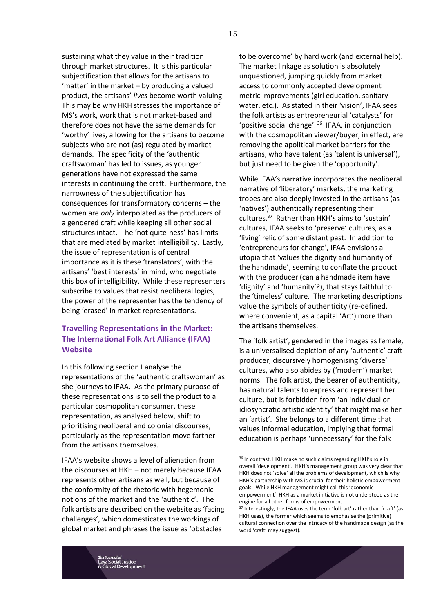sustaining what they value in their tradition through market structures. It is this particular subjectification that allows for the artisans to 'matter' in the market – by producing a valued product, the artisans' *lives* become worth valuing. This may be why HKH stresses the importance of MS's work, work that is not market-based and therefore does not have the same demands for 'worthy' lives, allowing for the artisans to become subjects who are not (as) regulated by market demands. The specificity of the 'authentic craftswoman' has led to issues, as younger generations have not expressed the same interests in continuing the craft. Furthermore, the narrowness of the subjectification has consequences for transformatory concerns – the women are *only* interpolated as the producers of a gendered craft while keeping all other social structures intact. The 'not quite-ness' has limits that are mediated by market intelligibility. Lastly, the issue of representation is of central importance as it is these 'translators', with the artisans' 'best interests' in mind, who negotiate this box of intelligibility. While these representers subscribe to values that resist neoliberal logics, the power of the representer has the tendency of being 'erased' in market representations.

# **Travelling Representations in the Market: The International Folk Art Alliance (IFAA) Website**

In this following section I analyse the representations of the 'authentic craftswoman' as she journeys to IFAA. As the primary purpose of these representations is to sell the product to a particular cosmopolitan consumer, these representation, as analysed below, shift to prioritising neoliberal and colonial discourses, particularly as the representation move farther from the artisans themselves.

IFAA's website shows a level of alienation from the discourses at HKH – not merely because IFAA represents other artisans as well, but because of the conformity of the rhetoric with hegemonic notions of the market and the 'authentic'. The folk artists are described on the website as 'facing challenges', which domesticates the workings of global market and phrases the issue as 'obstacles

to be overcome' by hard work (and external help). The market linkage as solution is absolutely unquestioned, jumping quickly from market access to commonly accepted development metric improvements (girl education, sanitary water, etc.). As stated in their 'vision', IFAA sees the folk artists as entrepreneurial 'catalysts' for 'positive social change'. <sup>36</sup> IFAA, in conjunction with the cosmopolitan viewer/buyer, in effect, are removing the apolitical market barriers for the artisans, who have talent (as 'talent is universal'), but just need to be given the 'opportunity'.

While IFAA's narrative incorporates the neoliberal narrative of 'liberatory' markets, the marketing tropes are also deeply invested in the artisans (as 'natives') authentically representing their cultures.<sup>37</sup> Rather than HKH's aims to 'sustain' cultures, IFAA seeks to 'preserve' cultures, as a 'living' relic of some distant past. In addition to 'entrepreneurs for change', IFAA envisions a utopia that 'values the dignity and humanity of the handmade', seeming to conflate the product with the producer (can a handmade item have 'dignity' and 'humanity'?), that stays faithful to the 'timeless' culture. The marketing descriptions value the symbols of authenticity (re-defined, where convenient, as a capital 'Art') more than the artisans themselves.

The 'folk artist', gendered in the images as female, is a universalised depiction of any 'authentic' craft producer, discursively homogenising 'diverse' cultures, who also abides by ('modern') market norms. The folk artist, the bearer of authenticity, has natural talents to express and represent her culture, but is forbidden from 'an individual or idiosyncratic artistic identity' that might make her an 'artist'. She belongs to a different time that values informal education, implying that formal education is perhaps 'unnecessary' for the folk

<sup>&</sup>lt;sup>36</sup> In contrast, HKH make no such claims regarding HKH's role in overall 'development'. HKH's management group was very clear that HKH does not 'solve' all the problems of development, which is why HKH's partnership with MS is crucial for their holistic empowerment goals. While HKH management might call this 'economic empowerment', HKH as a market initiative is not understood as the engine for all other forms of empowerment.

<sup>&</sup>lt;sup>37</sup> Interestingly, the IFAA uses the term 'folk art' rather than 'craft' (as HKH uses), the former which seems to emphasise the (primitive) cultural connection over the intricacy of the handmade design (as the word 'craft' may suggest).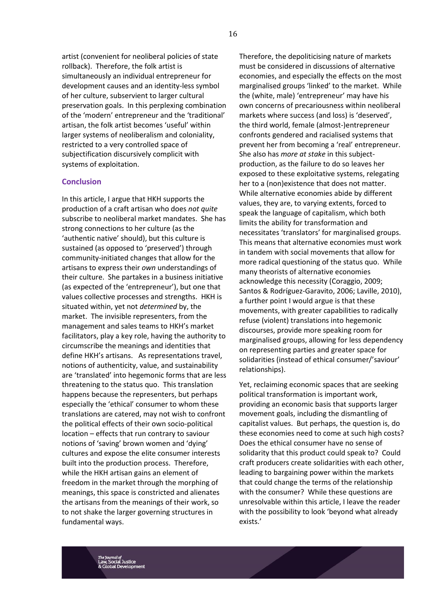artist (convenient for neoliberal policies of state rollback). Therefore, the folk artist is simultaneously an individual entrepreneur for development causes and an identity-less symbol of her culture, subservient to larger cultural preservation goals. In this perplexing combination of the 'modern' entrepreneur and the 'traditional' artisan, the folk artist becomes 'useful' within larger systems of neoliberalism and coloniality, restricted to a very controlled space of subjectification discursively complicit with systems of exploitation.

#### **Conclusion**

In this article, I argue that HKH supports the production of a craft artisan who does *not quite* subscribe to neoliberal market mandates. She has strong connections to her culture (as the 'authentic native' should), but this culture is sustained (as opposed to 'preserved') through community-initiated changes that allow for the artisans to express their *own* understandings of their culture. She partakes in a business initiative (as expected of the 'entrepreneur'), but one that values collective processes and strengths. HKH is situated within, yet not *determined* by, the market. The invisible representers, from the management and sales teams to HKH's market facilitators, play a key role, having the authority to circumscribe the meanings and identities that define HKH's artisans. As representations travel, notions of authenticity, value, and sustainability are 'translated' into hegemonic forms that are less threatening to the status quo. This translation happens because the representers, but perhaps especially the 'ethical' consumer to whom these translations are catered, may not wish to confront the political effects of their own socio-political location – effects that run contrary to saviour notions of 'saving' brown women and 'dying' cultures and expose the elite consumer interests built into the production process. Therefore, while the HKH artisan gains an element of freedom in the market through the morphing of meanings, this space is constricted and alienates the artisans from the meanings of their work, so to not shake the larger governing structures in fundamental ways.

Therefore, the depoliticising nature of markets must be considered in discussions of alternative economies, and especially the effects on the most marginalised groups 'linked' to the market. While the (white, male) 'entrepreneur' may have his own concerns of precariousness within neoliberal markets where success (and loss) is 'deserved', the third world, female (almost-)entrepreneur confronts gendered and racialised systems that prevent her from becoming a 'real' entrepreneur. She also has *more at stake* in this subjectproduction, as the failure to do so leaves her exposed to these exploitative systems, relegating her to a (non)existence that does not matter. While alternative economies abide by different values, they are, to varying extents, forced to speak the language of capitalism, which both limits the ability for transformation and necessitates 'translators' for marginalised groups. This means that alternative economies must work in tandem with social movements that allow for more radical questioning of the status quo. While many theorists of alternative economies acknowledge this necessity (Coraggio, 2009; Santos & Rodríguez-Garavito, 2006; Laville, 2010), a further point I would argue is that these movements, with greater capabilities to radically refuse (violent) translations into hegemonic discourses, provide more speaking room for marginalised groups, allowing for less dependency on representing parties and greater space for solidarities (instead of ethical consumer/'saviour' relationships).

Yet, reclaiming economic spaces that are seeking political transformation is important work, providing an economic basis that supports larger movement goals, including the dismantling of capitalist values. But perhaps, the question is, do these economies need to come at such high costs? Does the ethical consumer have no sense of solidarity that this product could speak to? Could craft producers create solidarities with each other, leading to bargaining power within the markets that could change the terms of the relationship with the consumer? While these questions are unresolvable within this article, I leave the reader with the possibility to look 'beyond what already exists.'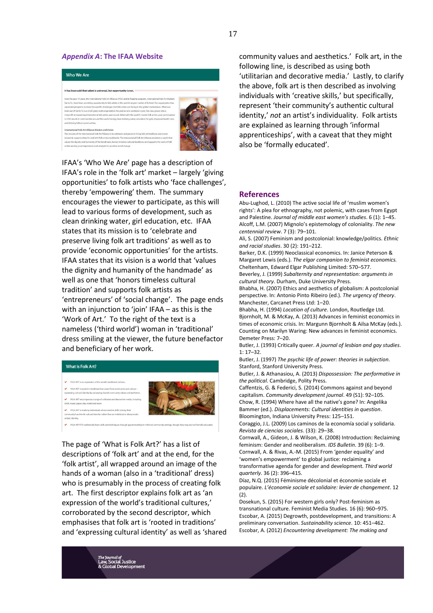#### *Appendix A***: The IFAA Website**



IFAA's 'Who We Are' page has a description of IFAA's role in the 'folk art' market – largely 'giving opportunities' to folk artists who 'face challenges', thereby 'empowering' them. The summary encourages the viewer to participate, as this will lead to various forms of development, such as clean drinking water, girl education, etc. IFAA states that its mission is to 'celebrate and preserve living folk art traditions' as well as to provide 'economic opportunities' for the artists. IFAA states that its vision is a world that 'values the dignity and humanity of the handmade' as well as one that 'honors timeless cultural tradition' and supports folk artists as 'entrepreneurs' of 'social change'. The page ends with an injunction to 'join' IFAA – as this is the 'Work of Art.' To the right of the text is a nameless ('third world') woman in 'traditional' dress smiling at the viewer, the future benefactor and beneficiary of her work.



The page of 'What is Folk Art?' has a list of descriptions of 'folk art' and at the end, for the 'folk artist', all wrapped around an image of the hands of a woman (also in a 'traditional' dress) who is presumably in the process of creating folk art. The first descriptor explains folk art as 'an expression of the world's traditional cultures,' corroborated by the second descriptor, which emphasises that folk art is 'rooted in traditions' and 'expressing cultural identity' as well as 'shared community values and aesthetics.' Folk art, in the following line, is described as using both 'utilitarian and decorative media.' Lastly, to clarify the above, folk art is then described as involving individuals with 'creative skills,' but specifically, represent 'their community's authentic cultural identity,' *not* an artist's individuality. Folk artists are explained as learning through 'informal apprenticeships', with a caveat that they might also be 'formally educated'.

#### **References**

Abu-Lughod, L. (2010) The active social life of 'muslim women's rights': A plea for ethnography, not polemic, with cases from Egypt and Palestine. *Journal of middle east women's studies*. 6 (1): 1–45. Alcoff, L.M. (2007) Mignolo's epistemology of coloniality. *The new centennial review*. 7 (3): 79–101.

Ali, S. (2007) Feminism and postcolonial: knowledge/politics. *Ethnic and racial studies*. 30 (2): 191–212.

Barker, D.K. (1999) Neoclassical economics. In: Janice Peterson & Margaret Lewis (eds.). *The elgar companion to feminist economics.* Cheltenham, Edward Elgar Publishing Limited: 570–577. Beverley, J. (1999) *Subalternity and representation: arguments in* 

*cultural theory*. Durham, Duke University Press.

Bhabha, H. (2007) Ethics and aesthetics of globalism: A postcolonial perspective. In: Antonio Pinto Ribeiro (ed.). *The urgency of theory*. Manchester, Carcanet Press Ltd: 1–20.

Bhabha, H. (1994) *Location of culture*. London, Routledge Ltd. Bjornholt, M. & McKay, A. (2013) Advances in feminist economics in times of economic crisis. In: Margunn Bjornholt & Ailsa McKay (eds.). Counting on Marilyn Waring: New advances in feminist economics. Demeter Press: 7–20.

Butler, J. (1993) Critically queer. *A journal of lesbian and gay studies*. 1: 17–32.

Butler, J. (1997) *The psychic life of power: theories in subjection*. Stanford, Stanford University Press.

Butler, J. & Athanasiou, A. (2013) *Dispossession: The performative in the political*. Cambridge, Polity Press.

Caffentzis, G. & Federici, S. (2014) Commons against and beyond capitalism. *Community development journal*. 49 (S1): 92–105. Chow, R. (1994) Where have all the native's gone? In: Angelika Bammer (ed.). *Displacements: Cultural identities in question*. Bloomington, Indiana University Press: 125–151.

Coraggio, J.L. (2009) Los caminos de la economía social y solidaria. *Revista de ciencias sociales*. (33): 29–38.

Cornwall, A., Gideon, J. & Wilson, K. (2008) Introduction: Reclaiming feminism: Gender and neoliberalism. *IDS Bulletin*. 39 (6): 1–9.

Cornwall, A. & Rivas, A.-M. (2015) From 'gender equality' and 'women's empowerment' to global justice: reclaiming a transformative agenda for gender and development. *Third world quarterly*. 36 (2): 396–415.

Díaz, N.Q. (2015) Féminisme décolonial et économie sociale et populaire. *L'économie sociale et solidaire: levier de changement*. 12 (2).

Dosekun, S. (2015) For western girls only? Post-feminism as transnational culture. Feminist Media Studies. 16 (6): 960–975. Escobar, A. (2015) Degrowth, postdevelopment, and transitions: A preliminary conversation. *Sustainability science*. 10: 451–462. Escobar, A. (2012) *Encountering development: The making and*